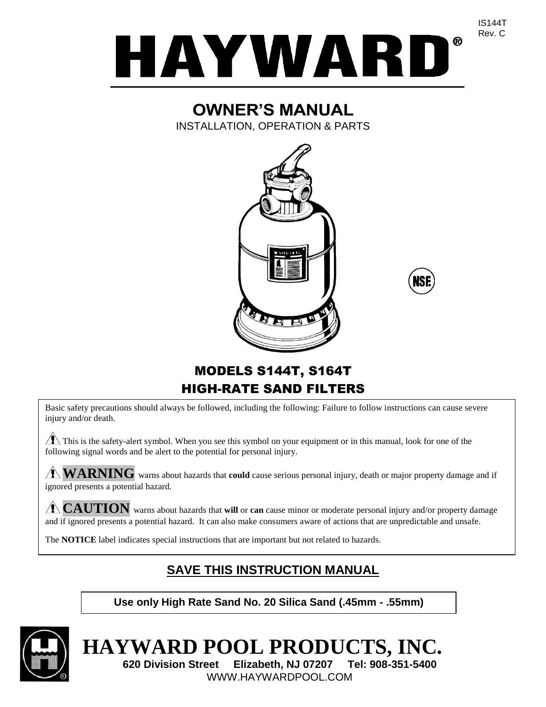

# **OWNER'S MANUAL**

INSTALLATION, OPERATION & PARTS





MODELS S144T, S164T HIGH-RATE SAND FILTERS

Basic safety precautions should always be followed, including the following: Failure to follow instructions can cause severe injury and/or death.

 $\sqrt{\phantom{a}}\!\!\!\!\perp$  This is the safety-alert symbol. When you see this symbol on your equipment or in this manual, look for one of the following signal words and be alert to the potential for personal injury.

**WARNING** warns about hazards that **could** cause serious personal injury, death or major property damage and if ignored presents a potential hazard.

**CAUTION** warns about hazards that **will** or **can** cause minor or moderate personal injury and/or property damage and if ignored presents a potential hazard. It can also make consumers aware of actions that are unpredictable and unsafe.

The **NOTICE** label indicates special instructions that are important but not related to hazards.

# **SAVE THIS INSTRUCTION MANUAL**

**Use only High Rate Sand No. 20 Silica Sand (.45mm - .55mm)**



# **HAYWARD POOL PRODUCTS, INC.**

**620 Division Street Elizabeth, NJ 07207 Tel: 908-351-5400** WWW.HAYWARDPOOL.COM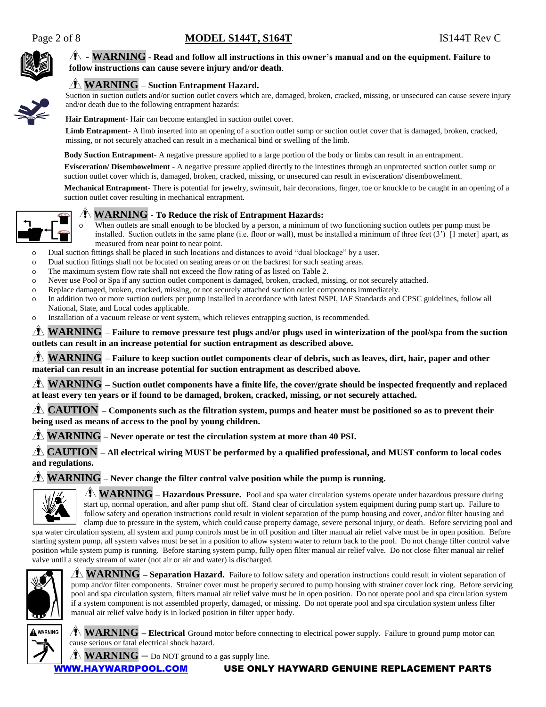

#### $4 \times 7$  - **WARNING** - Read and follow all instructions in this owner's manual and on the equipment. Failure to **follow instructions can cause severe injury and/or death**.

#### **WARNING – Suction Entrapment Hazard.**

Suction in suction outlets and/or suction outlet covers which are, damaged, broken, cracked, missing, or unsecured can cause severe injury and/or death due to the following entrapment hazards:

**Hair Entrapment**- Hair can become entangled in suction outlet cover.

Limb Entrapment- A limb inserted into an opening of a suction outlet sump or suction outlet cover that is damaged, broken, cracked, missing, or not securely attached can result in a mechanical bind or swelling of the limb.

**Body Suction Entrapment**- A negative pressure applied to a large portion of the body or limbs can result in an entrapment.

**Evisceration/ Disembowelment** - A negative pressure applied directly to the intestines through an unprotected suction outlet sump or suction outlet cover which is, damaged, broken, cracked, missing, or unsecured can result in evisceration/ disembowelment.

**Mechanical Entrapment**- There is potential for jewelry, swimsuit, hair decorations, finger, toe or knuckle to be caught in an opening of a suction outlet cover resulting in mechanical entrapment.



#### **WARNING** - **To Reduce the risk of Entrapment Hazards:**

When outlets are small enough to be blocked by a person, a minimum of two functioning suction outlets per pump must be installed. Suction outlets in the same plane (i.e. floor or wall), must be installed a minimum of three feet (3') [1 meter] apart, as measured from near point to near point.

o Dual suction fittings shall be placed in such locations and distances to avoid "dual blockage" by a user.

- o Dual suction fittings shall not be located on seating areas or on the backrest for such seating areas.
- o The maximum system flow rate shall not exceed the flow rating of as listed on Table 2.
- o Never use Pool or Spa if any suction outlet component is damaged, broken, cracked, missing, or not securely attached.
- o Replace damaged, broken, cracked, missing, or not securely attached suction outlet components immediately.
- o In addition two or more suction outlets per pump installed in accordance with latest NSPI, IAF Standards and CPSC guidelines, follow all National, State, and Local codes applicable.
- o Installation of a vacuum release or vent system, which relieves entrapping suction, is recommended.

**WARNING – Failure to remove pressure test plugs and/or plugs used in winterization of the pool/spa from the suction outlets can result in an increase potential for suction entrapment as described above.**

**WARNING – Failure to keep suction outlet components clear of debris, such as leaves, dirt, hair, paper and other material can result in an increase potential for suction entrapment as described above.**

**WARNING – Suction outlet components have a finite life, the cover/grate should be inspected frequently and replaced at least every ten years or if found to be damaged, broken, cracked, missing, or not securely attached.**

**CAUTION – Components such as the filtration system, pumps and heater must be positioned so as to prevent their being used as means of access to the pool by young children.**

**WARNING – Never operate or test the circulation system at more than 40 PSI.**

**CAUTION – All electrical wiring MUST be performed by a qualified professional, and MUST conform to local codes and regulations.**

**WARNING – Never change the filter control valve position while the pump is running.**



**WARNING – Hazardous Pressure.** Pool and spa water circulation systems operate under hazardous pressure during start up, normal operation, and after pump shut off. Stand clear of circulation system equipment during pump start up. Failure to follow safety and operation instructions could result in violent separation of the pump housing and cover, and/or filter housing and clamp due to pressure in the system, which could cause property damage, severe personal injury, or death. Before servicing pool and

spa water circulation system, all system and pump controls must be in off position and filter manual air relief valve must be in open position. Before starting system pump, all system valves must be set in a position to allow system water to return back to the pool. Do not change filter control valve position while system pump is running. Before starting system pump, fully open filter manual air relief valve. Do not close filter manual air relief valve until a steady stream of water (not air or air and water) is discharged.



**WARNING – Separation Hazard.** Failure to follow safety and operation instructions could result in violent separation of pump and/or filter components. Strainer cover must be properly secured to pump housing with strainer cover lock ring. Before servicing pool and spa circulation system, filters manual air relief valve must be in open position. Do not operate pool and spa circulation system if a system component is not assembled properly, damaged, or missing. Do not operate pool and spa circulation system unless filter manual air relief valve body is in locked position in filter upper body.



**WARNING – Electrical** Ground motor before connecting to electrical power supply. Failure to ground pump motor can cause serious or fatal electrical shock hazard.

 $\mathbf{W}$  **WARNING** – Do NOT ground to a gas supply line.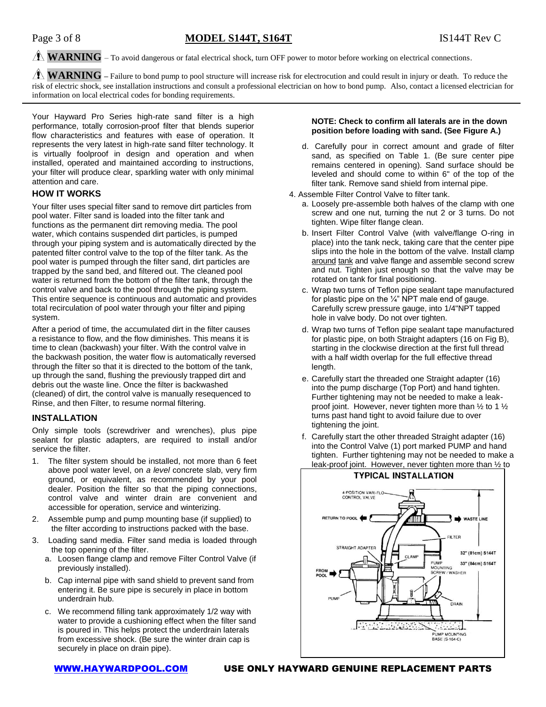#### $\hat{A}$  **WARNING** – To avoid dangerous or fatal electrical shock, turn OFF power to motor before working on electrical connections.

**WARNING –** Failure to bond pump to pool structure will increase risk for electrocution and could result in injury or death. To reduce the risk of electric shock, see installation instructions and consult a professional electrician on how to bond pump. Also, contact a licensed electrician for information on local electrical codes for bonding requirements.

Your Hayward Pro Series high-rate sand filter is a high performance, totally corrosion-proof filter that blends superior flow characteristics and features with ease of operation. It represents the very latest in high-rate sand filter technology. It is virtually foolproof in design and operation and when installed, operated and maintained according to instructions, your filter will produce clear, sparkling water with only minimal attention and care.

#### **HOW IT WORKS**

Your filter uses special filter sand to remove dirt particles from pool water. Filter sand is loaded into the filter tank and functions as the permanent dirt removing media. The pool water, which contains suspended dirt particles, is pumped through your piping system and is automatically directed by the patented filter control valve to the top of the filter tank. As the pool water is pumped through the filter sand, dirt particles are trapped by the sand bed, and filtered out. The cleaned pool water is returned from the bottom of the filter tank, through the control valve and back to the pool through the piping system. This entire sequence is continuous and automatic and provides total recirculation of pool water through your filter and piping system.

After a period of time, the accumulated dirt in the filter causes a resistance to flow, and the flow diminishes. This means it is time to clean (backwash) your filter. With the control valve in the backwash position, the water flow is automatically reversed through the filter so that it is directed to the bottom of the tank, up through the sand, flushing the previously trapped dirt and debris out the waste line. Once the filter is backwashed (cleaned) of dirt, the control valve is manually resequenced to Rinse, and then Filter, to resume normal filtering.

#### **INSTALLATION**

Only simple tools (screwdriver and wrenches), plus pipe sealant for plastic adapters, are required to install and/or service the filter.

- 1. The filter system should be installed, not more than 6 feet above pool water level, on *a level* concrete slab, very firm ground, or equivalent, as recommended by your pool dealer. Position the filter so that the piping connections, control valve and winter drain are convenient and accessible for operation, service and winterizing.
- 2. Assemble pump and pump mounting base (if supplied) to the filter according to instructions packed with the base.
- 3. Loading sand media. Filter sand media is loaded through the top opening of the filter.
	- a. Loosen flange clamp and remove Filter Control Valve (if previously installed).
	- b. Cap internal pipe with sand shield to prevent sand from entering it. Be sure pipe is securely in place in bottom underdrain hub.
	- c. We recommend filling tank approximately 1/2 way with water to provide a cushioning effect when the filter sand is poured in. This helps protect the underdrain laterals from excessive shock. (Be sure the winter drain cap is securely in place on drain pipe).

#### **NOTE: Check to confirm all laterals are in the down position before loading with sand. (See Figure A.)**

- d. Carefully pour in correct amount and grade of filter sand, as specified on Table 1. (Be sure center pipe remains centered in opening). Sand surface should be leveled and should come to within 6" of the top of the filter tank. Remove sand shield from internal pipe.
- 4. Assemble Filter Control Valve to filter tank.
	- a. Loosely pre-assemble both halves of the clamp with one screw and one nut, turning the nut 2 or 3 turns. Do not tighten. Wipe filter flange clean.
	- b. Insert Filter Control Valve (with valve/flange O-ring in place) into the tank neck, taking care that the center pipe slips into the hole in the bottom of the valve. Install clamp around tank and valve flange and assemble second screw and nut. Tighten just enough so that the valve may be rotated on tank for final positioning.
	- c. Wrap two turns of Teflon pipe sealant tape manufactured for plastic pipe on the  $\frac{1}{4}$ " NPT male end of gauge. Carefully screw pressure gauge, into 1/4"NPT tapped hole in valve body. Do not over tighten.
	- d. Wrap two turns of Teflon pipe sealant tape manufactured for plastic pipe, on both Straight adapters (16 on Fig B), starting in the clockwise direction at the first full thread with a half width overlap for the full effective thread length.
	- e. Carefully start the threaded one Straight adapter (16) into the pump discharge (Top Port) and hand tighten. Further tightening may not be needed to make a leakproof joint. However, never tighten more than ½ to 1 ½ turns past hand tight to avoid failure due to over tightening the joint.
	- f. Carefully start the other threaded Straight adapter (16) into the Control Valve (1) port marked PUMP and hand tighten. Further tightening may not be needed to make a leak-proof joint. However, never tighten more than ½ to

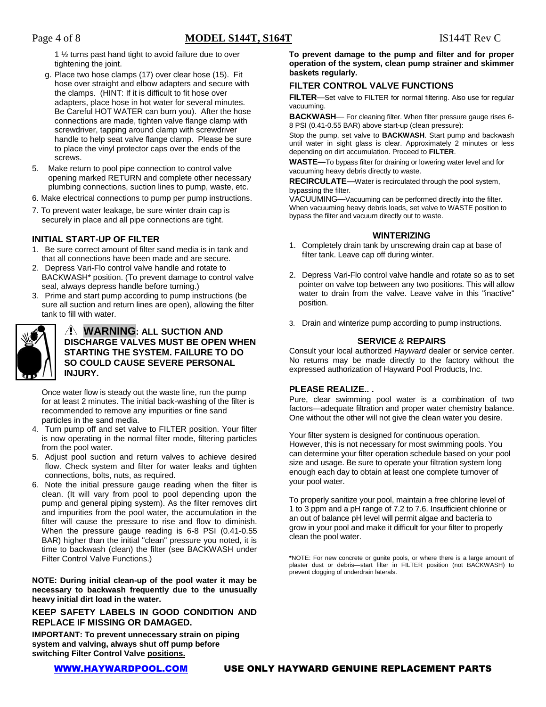1 ½ turns past hand tight to avoid failure due to over tightening the joint.

- g. Place two hose clamps (17) over clear hose (15). Fit hose over straight and elbow adapters and secure with the clamps. (HINT: If it is difficult to fit hose over adapters, place hose in hot water for several minutes. Be Careful HOT WATER can burn you). After the hose connections are made, tighten valve flange clamp with screwdriver, tapping around clamp with screwdriver handle to help seat valve flange clamp. Please be sure to place the vinyl protector caps over the ends of the screws.
- 5. Make return to pool pipe connection to control valve opening marked RETURN and complete other necessary plumbing connections, suction lines to pump, waste, etc.
- 6. Make electrical connections to pump per pump instructions.
- 7. To prevent water leakage, be sure winter drain cap is securely in place and all pipe connections are tight.

#### **INITIAL START-UP OF FILTER**

- 1. Be sure correct amount of filter sand media is in tank and that all connections have been made and are secure.
- 2. Depress Vari-Flo control valve handle and rotate to BACKWASH\* position. (To prevent damage to control valve seal, always depress handle before turning.)
- 3. Prime and start pump according to pump instructions (be sure all suction and return lines are open), allowing the filter tank to fill with water.

#### **WARNING: ALL SUCTION AND DISCHARGE VALVES MUST BE OPEN WHEN STARTING THE SYSTEM. FAILURE TO DO SO COULD CAUSE SEVERE PERSONAL INJURY.**

Once water flow is steady out the waste line, run the pump for at least 2 minutes. The initial back-washing of the filter is recommended to remove any impurities or fine sand particles in the sand media.

- Turn pump off and set valve to FILTER position. Your filter is now operating in the normal filter mode, filtering particles from the pool water.
- 5. Adjust pool suction and return valves to achieve desired flow. Check system and filter for water leaks and tighten connections, bolts, nuts, as required.
- 6. Note the initial pressure gauge reading when the filter is clean. (It will vary from pool to pool depending upon the pump and general piping system). As the filter removes dirt and impurities from the pool water, the accumulation in the filter will cause the pressure to rise and flow to diminish. When the pressure gauge reading is 6-8 PSI (0.41-0.55 BAR) higher than the initial "clean" pressure you noted, it is time to backwash (clean) the filter (see BACKWASH under Filter Control Valve Functions.)

**NOTE: During initial clean-up of the pool water it may be necessary to backwash frequently due to the unusually heavy initial dirt load in the water.**

#### **KEEP SAFETY LABELS IN GOOD CONDITION AND REPLACE IF MISSING OR DAMAGED.**

**IMPORTANT: To prevent unnecessary strain on piping system and valving, always shut off pump before switching Filter Control Valve positions.**

**To prevent damage to the pump and filter and for proper operation of the system, clean pump strainer and skimmer baskets regularly.**

#### **FILTER CONTROL VALVE FUNCTIONS**

**FILTER**—Set valve to FILTER for normal filtering. Also use for regular vacuuming.

**BACKWASH**— For cleaning filter. When filter pressure gauge rises 6- 8 PSI (0.41-0.55 BAR) above start-up (clean pressure):

Stop the pump, set valve to **BACKWASH**. Start pump and backwash until water in sight glass is clear. Approximately 2 minutes or less depending on dirt accumulation. Proceed to **FILTER**.

**WASTE—**To bypass filter for draining or lowering water level and for vacuuming heavy debris directly to waste.

**RECIRCULATE**—Water is recirculated through the pool system, bypassing the filter.

VACUUMING—Vacuuming can be performed directly into the filter. When vacuuming heavy debris loads, set valve to WASTE position to bypass the filter and vacuum directly out to waste.

#### **WINTERIZING**

- 1. Completely drain tank by unscrewing drain cap at base of filter tank. Leave cap off during winter.
- 2. Depress Vari-Flo control valve handle and rotate so as to set pointer on valve top between any two positions. This will allow water to drain from the valve. Leave valve in this "inactive" position.
- 3. Drain and winterize pump according to pump instructions.

#### **SERVICE** & **REPAIRS**

Consult your local authorized *Hayward* dealer or service center. No returns may be made directly to the factory without the expressed authorization of Hayward Pool Products, Inc.

#### **PLEASE REALIZE.. .**

Pure, clear swimming pool water is a combination of two factors—adequate filtration and proper water chemistry balance. One without the other will not give the clean water you desire.

Your filter system is designed for continuous operation. However, this is not necessary for most swimming pools. You can determine your filter operation schedule based on your pool size and usage. Be sure to operate your filtration system long enough each day to obtain at least one complete turnover of your pool water.

To properly sanitize your pool, maintain a free chlorine level of 1 to 3 ppm and a pH range of 7.2 to 7.6. Insufficient chlorine or an out of balance pH level will permit algae and bacteria to grow in your pool and make it difficult for your filter to properly clean the pool water.

**\***NOTE: For new concrete or gunite pools, or where there is a large amount of plaster dust or debris—start filter in FILTER position (not BACKWASH) to prevent clogging of underdrain laterals.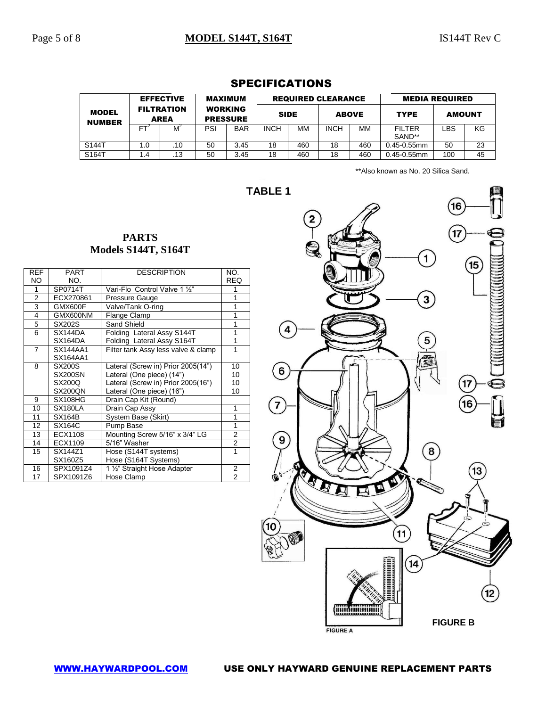|                               | <b>EFFECTIVE</b>                 |     | <b>MAXIMUM</b><br><b>WORKING</b><br><b>PRESSURE</b> |            | <b>REQUIRED CLEARANCE</b> |             |              |     | <b>MEDIA REQUIRED</b> |               |    |
|-------------------------------|----------------------------------|-----|-----------------------------------------------------|------------|---------------------------|-------------|--------------|-----|-----------------------|---------------|----|
| <b>MODEL</b><br><b>NUMBER</b> | <b>FILTRATION</b><br><b>AREA</b> |     |                                                     |            |                           | <b>SIDE</b> | <b>ABOVE</b> |     | <b>TYPE</b>           | <b>AMOUNT</b> |    |
|                               | FT                               | M   | PSI                                                 | <b>BAR</b> | <b>INCH</b>               | MM          | <b>INCH</b>  | MМ  | FII TFR<br>SAND**     | LBS           | ΚG |
| S144T                         | 1.0                              | .10 | 50                                                  | 3.45       | 18                        | 460         | 18           | 460 | $0.45 - 0.55$ mm      | 50            | 23 |
| S164T                         | . 4                              | .13 | 50                                                  | 3.45       | 18                        | 460         | 18           | 460 | 0.45-0.55mm           | 100           | 45 |

### SPECIFICATIONS

\*\*Also known as No. 20 Silica Sand.

**TABLE 1**

#### **PARTS Models S144T, S164T**

| <b>REF</b>     | <b>PART</b>    | <b>DESCRIPTION</b>                  | NO.            |
|----------------|----------------|-------------------------------------|----------------|
| NO             | NO.            |                                     | <b>REQ</b>     |
| 1              | SP0714T        | Vari-Flo Control Valve 1 1/2"       | 1              |
| $\overline{2}$ | ECX270861      | Pressure Gauge                      | 1              |
| 3              | GMX600F        | Valve/Tank O-ring                   | 1              |
| 4              | GMX600NM       | Flange Clamp                        | 1              |
| 5              | SX202S         | Sand Shield                         | 1              |
| 6              | SX144DA        | Folding Lateral Assy S144T          | 1              |
|                | SX164DA        | Folding Lateral Assy S164T          | 1              |
| $\overline{7}$ | SX144AA1       | Filter tank Assy less valve & clamp | 1              |
|                | SX164AA1       |                                     |                |
| 8              | SX200S         | Lateral (Screw in) Prior 2005(14")  | 10             |
|                | <b>SX200SN</b> | Lateral (One piece) (14")           | 10             |
|                | SX200Q         | Lateral (Screw in) Prior 2005(16")  | 10             |
|                | <b>SX200QN</b> | Lateral (One piece) (16")           | 10             |
| 9              | SX108HG        | Drain Cap Kit (Round)               |                |
| 10             | SX180LA        | Drain Cap Assy                      | 1              |
| 11             | <b>SX164B</b>  | System Base (Skirt)                 | 1              |
| 12             | SX164C         | Pump Base                           | 1              |
| 13             | ECX1108        | Mounting Screw 5/16" x 3/4" LG      | 2              |
| 14             | ECX1109        | 5/16" Washer                        | 2              |
| 15             | SX144Z1        | Hose (S144T systems)                | 1              |
|                | SX160Z5        | Hose (S164T Systems)                |                |
| 16             | SPX1091Z4      | 1 1/2" Straight Hose Adapter        | 2              |
| 17             | SPX1091Z6      | Hose Clamp                          | $\overline{2}$ |

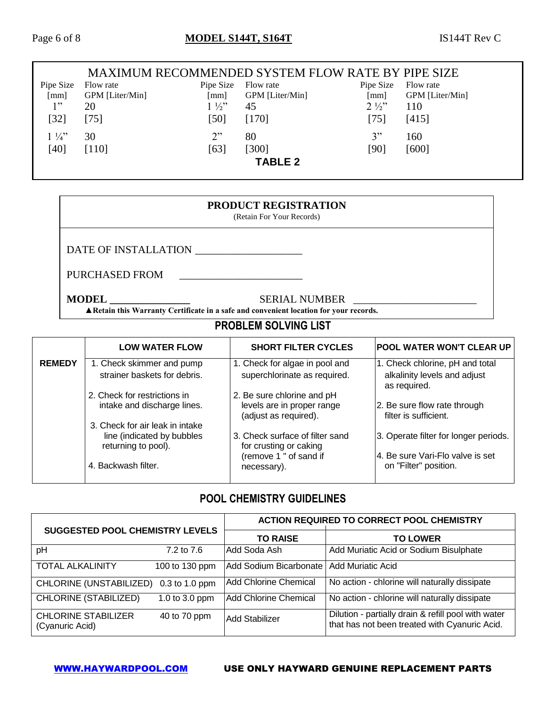### Page 6 of 8 **MODEL S144T, S164T** IS144T Rev C

|                | <b>MAXIMUM RECOMMENDED SYSTEM FLOW RATE BY PIPE SIZE</b> |                      |                 |                |                 |
|----------------|----------------------------------------------------------|----------------------|-----------------|----------------|-----------------|
| Pipe Size      | Flow rate                                                | Pipe Size            | Flow rate       | Pipe Size      | Flow rate       |
| [mm]           | GPM [Liter/Min]                                          | $\lceil$ mm $\rceil$ | GPM [Liter/Min] | [mm]           | GPM [Liter/Min] |
| 1"             | 20                                                       | $1\frac{1}{2}$       | 45              | $2\frac{1}{2}$ | 110             |
| $[32]$         | $[75]$                                                   | [50]                 | [170]           | $[75]$         | [415]           |
| $1\frac{1}{4}$ | 30                                                       | 2"                   | 80              | 3"             | 160             |
| [40]           | $[110]$                                                  | [63]                 | [300]           | [90]           | [600]           |
|                |                                                          |                      | <b>TABLE 2</b>  |                |                 |

#### **PRODUCT REGISTRATION**

(Retain For Your Records)

DATE OF INSTALLATION \_\_\_\_\_\_\_\_\_\_\_\_\_\_\_\_\_\_\_\_

PURCHASED FROM \_\_\_\_\_\_\_\_\_\_\_\_\_\_\_\_\_\_\_\_\_\_\_

**MODEL \_\_\_\_\_\_\_\_\_\_\_\_\_\_\_** SERIAL NUMBER \_\_\_\_\_\_\_\_\_\_\_\_\_\_\_\_\_\_\_\_\_\_\_

 **▲Retain this Warranty Certificate in a safe and convenient location for your records.**

## **PROBLEM SOLVING LIST**

|               | <b>LOW WATER FLOW</b>                                                                | <b>SHORT FILTER CYCLES</b>                                                        | <b>POOL WATER WON'T CLEAR UP</b>                                                |
|---------------|--------------------------------------------------------------------------------------|-----------------------------------------------------------------------------------|---------------------------------------------------------------------------------|
| <b>REMEDY</b> | 1. Check skimmer and pump<br>strainer baskets for debris.                            | 1. Check for algae in pool and<br>superchlorinate as required.                    | 1. Check chlorine, pH and total<br>alkalinity levels and adjust<br>as required. |
|               | 2. Check for restrictions in<br>intake and discharge lines.                          | 2. Be sure chlorine and pH<br>levels are in proper range<br>(adjust as required). | 2. Be sure flow rate through<br>filter is sufficient.                           |
|               | 3. Check for air leak in intake<br>line (indicated by bubbles<br>returning to pool). | 3. Check surface of filter sand<br>for crusting or caking                         | 3. Operate filter for longer periods.                                           |
|               | 4. Backwash filter.                                                                  | (remove 1 " of sand if<br>necessary).                                             | 4. Be sure Vari-Flo valve is set<br>on "Filter" position.                       |

### **POOL CHEMISTRY GUIDELINES**

| <b>SUGGESTED POOL CHEMISTRY LEVELS</b>        |                       | <b>ACTION REQUIRED TO CORRECT POOL CHEMISTRY</b> |                                                                                                      |  |
|-----------------------------------------------|-----------------------|--------------------------------------------------|------------------------------------------------------------------------------------------------------|--|
|                                               |                       | <b>TO RAISE</b>                                  | <b>TO LOWER</b>                                                                                      |  |
| pH                                            | $7.2 \text{ to } 7.6$ | Add Soda Ash                                     | Add Muriatic Acid or Sodium Bisulphate                                                               |  |
| <b>TOTAL ALKALINITY</b>                       | 100 to 130 ppm        | Add Sodium Bicarbonate                           | <b>Add Muriatic Acid</b>                                                                             |  |
| CHLORINE (UNSTABILIZED)                       | 0.3 to 1.0 ppm        | <b>Add Chlorine Chemical</b>                     | No action - chlorine will naturally dissipate                                                        |  |
| <b>CHLORINE (STABILIZED)</b>                  | 1.0 to 3.0 ppm        | <b>Add Chlorine Chemical</b>                     | No action - chlorine will naturally dissipate                                                        |  |
| <b>CHLORINE STABILIZER</b><br>(Cyanuric Acid) | 40 to 70 ppm          | Add Stabilizer                                   | Dilution - partially drain & refill pool with water<br>that has not been treated with Cyanuric Acid. |  |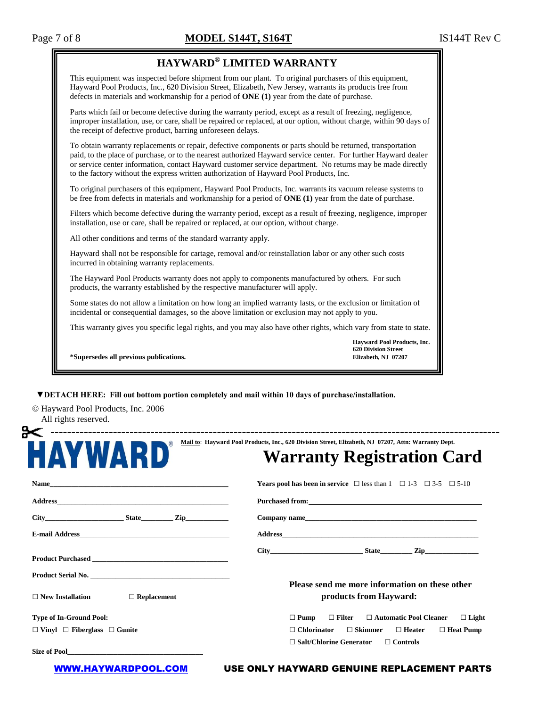#### Page 7 of 8 **MODEL S144T, S164T** IS144T Rev C

#### **HAYWARD® LIMITED WARRANTY**

This equipment was inspected before shipment from our plant. To original purchasers of this equipment, Hayward Pool Products, Inc., 620 Division Street, Elizabeth, New Jersey, warrants its products free from defects in materials and workmanship for a period of **ONE (1)** year from the date of purchase.

Parts which fail or become defective during the warranty period, except as a result of freezing, negligence, improper installation, use, or care, shall be repaired or replaced, at our option, without charge, within 90 days of the receipt of defective product, barring unforeseen delays.

To obtain warranty replacements or repair, defective components or parts should be returned, transportation paid, to the place of purchase, or to the nearest authorized Hayward service center. For further Hayward dealer or service center information, contact Hayward customer service department. No returns may be made directly to the factory without the express written authorization of Hayward Pool Products, Inc.

To original purchasers of this equipment, Hayward Pool Products, Inc. warrants its vacuum release systems to be free from defects in materials and workmanship for a period of **ONE (1)** year from the date of purchase.

Filters which become defective during the warranty period, except as a result of freezing, negligence, improper installation, use or care, shall be repaired or replaced, at our option, without charge.

All other conditions and terms of the standard warranty apply.

Hayward shall not be responsible for cartage, removal and/or reinstallation labor or any other such costs incurred in obtaining warranty replacements.

The Hayward Pool Products warranty does not apply to components manufactured by others. For such products, the warranty established by the respective manufacturer will apply.

Some states do not allow a limitation on how long an implied warranty lasts, or the exclusion or limitation of incidental or consequential damages, so the above limitation or exclusion may not apply to you.

This warranty gives you specific legal rights, and you may also have other rights, which vary from state to state.

**Hayward Pool Products, Inc. 620 Division Street**

**\*Supersedes all previous publications. Elizabeth, NJ 07207**

 **▼DETACH HERE: Fill out bottom portion completely and mail within 10 days of purchase/installation.**

© Hayward Pool Products, Inc. 2006 All rights reserved.

| <b>AYWARD</b>                                                                                                                                                                                                                        | Mail to: Hayward Pool Products, Inc., 620 Division Street, Elizabeth, NJ 07207, Attn: Warranty Dept.<br><b>Warranty Registration Card</b> |
|--------------------------------------------------------------------------------------------------------------------------------------------------------------------------------------------------------------------------------------|-------------------------------------------------------------------------------------------------------------------------------------------|
|                                                                                                                                                                                                                                      | <b>Years pool has been in service</b> $\Box$ less than 1 $\Box$ 1-3 $\Box$ 3-5 $\Box$ 5-10                                                |
|                                                                                                                                                                                                                                      |                                                                                                                                           |
| City State Zip                                                                                                                                                                                                                       | Company name                                                                                                                              |
| E-mail Address and the state of the state of the state of the state of the state of the state of the state of the state of the state of the state of the state of the state of the state of the state of the state of the stat       |                                                                                                                                           |
| Product Purchased New York and Separate and Separate Separate and Separate Separate and Separate Separate and Separate Separate and Separate and Separate and Separate and Separate and Separate and Separate and Separate and       | $City$ $City$ $State$ $Zip$                                                                                                               |
|                                                                                                                                                                                                                                      |                                                                                                                                           |
| $\Box$ Replacement<br>$\Box$ New Installation                                                                                                                                                                                        | Please send me more information on these other<br>products from Hayward:                                                                  |
| <b>Type of In-Ground Pool:</b>                                                                                                                                                                                                       | $\Box$ Pump<br>$\Box$ Filter<br>$\Box$ Automatic Pool Cleaner<br>$\Box$ Light                                                             |
| $\Box$ Vinyl $\Box$ Fiberglass $\Box$ Gunite                                                                                                                                                                                         | $\Box$ Skimmer<br>$\Box$ Chlorinator<br>$\Box$ Heater<br>$\Box$ Heat Pump                                                                 |
| Size of Pool <u>and the same of the same of the same of the same of the same of the same of the same of the same of the same of the same of the same of the same of the same of the same of the same of the same of the same of </u> | $\Box$ Salt/Chlorine Generator<br>$\Box$ Controls                                                                                         |